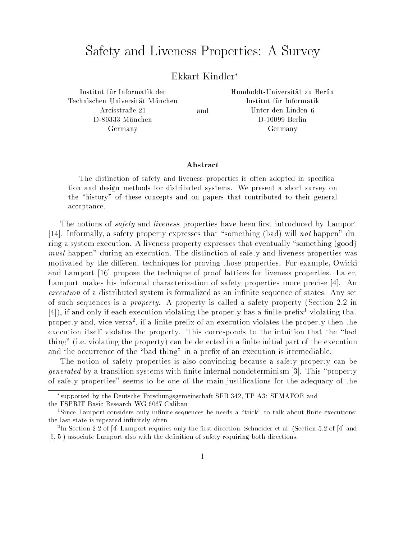## Safety and Liveness Properties: A Survey

## Ekkart Kindler

Institut für Informatik der Technischen Universität München Arcisstraße 21 D-80333 München Germany

Humboldt-Universität zu Berlin Institut fur Informatik Unter den Linden 6 D-10099 Berlin Germany

and

## Abstract

The distinction of safety and liveness properties is often adopted in specication and design methods for distributed systems. We present a short survey on the "history" of these concepts and on papers that contributed to their general acceptance.

The notions of *safety* and *liveness* properties have been first introduced by Lamport [14]. Informally, a safety property expresses that "something (bad) will not happen" during a system execution. A liveness property expresses that eventually "something (good) must happen" during an execution. The distinction of safety and liveness properties was motivated by the different techniques for proving those properties. For example, Owicki and Lamport [16] propose the technique of proof lattices for liveness properties. Later, Lamport makes his informal characterization of safety properties more precise [4]. An execution of a distributed system is formalized as an infinite sequence of states. Any set of such sequences is a property. A property is called a safety property (Section 2.2 in  $\left[4\right]$ ), if and only if each execution violating the property has a finite prefix violating that property and, vice versa<sup>t</sup>, if a finite prefix of an execution violates the property then the execution itself violates the property. This corresponds to the intuition that the "bad thing" (i.e. violating the property) can be detected in a finite initial part of the execution and the occurrence of the "bad thing" in a prefix of an execution is irremediable.

The notion of safety properties is also convincing because a safety property can be *generated* by a transition systems with finite internal nondeterminism [3]. This "property of safety properties" seems to be one of the main justications for the adequacy of the

supported by the Deutsche Forschungsgemeinschaft SFB 342, TP A3: SEMAFOR and the ESPRIT Basic Research WG 6067 Caliban

<sup>1</sup> Since Lamport considers only innite sequences he needs a \trick" to talk about nite executions: the last state is repeated infinitely often.

<sup>2</sup> In Section 2.2 of [4] Lamport requires only the rst direction; Schneider et al. (Section 5.2 of [4] and [6, 5]) associate Lamport also with the definition of safety requiring both directions.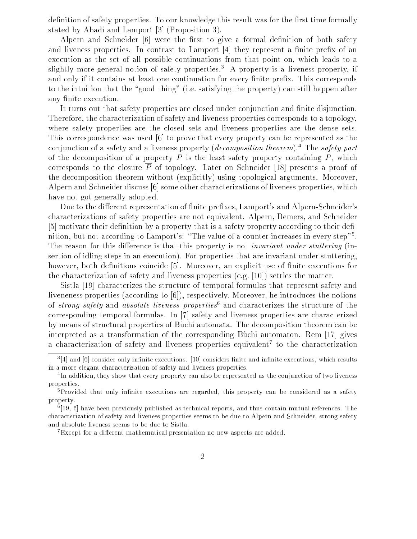definition of safety properties. To our knowledge this result was for the first time formally stated by Abadi and Lamport [3] (Proposition 3).

Alpern and Schneider  $[6]$  were the first to give a formal definition of both safety and liveness properties. In contrast to Lamport [4] they represent a finite prefix of an execution as the set of all possible continuations from that point on, which leads to a slightly more general notion of safety properties.<sup>3</sup> A property is a liveness property, if and only if it contains at least one continuation for every finite prefix. This corresponds to the intuition that the "good thing" (i.e. satisfying the property) can still happen after any finite execution.

It turns out that safety properties are closed under conjunction and finite disjunction. Therefore, the characterization of safety and liveness properties corresponds to a topology, where safety properties are the closed sets and liveness properties are the dense sets. This correspondence was used [6] to prove that every property can be represented as the conjunction of a safety and a fiveness property (*decomposition theorem*). The s*afety part* of the decomposition of a property  $P$  is the least safety property containing  $P$ , which corresponds to the closure  $\overline{P}$  of topology. Later on Schneider [18] presents a proof of the decomposition theorem without (explicitly) using topological arguments. Moreover, Alpern and Schneider discuss [6] some other characterizations of liveness properties, which have not got generally adopted.

Due to the different representation of finite prefixes, Lamport's and Alpern-Schneider's characterizations of safety properties are not equivalent. Alpern, Demers, and Schneider  $[5]$  motivate their definition by a property that is a safety property according to their definition, but not according to Lamport's: "The value of a counter increases in every step"<sup>5</sup>. The reason for this difference is that this property is not *invariant under stuttering* (insertion of idling steps in an execution). For properties that are invariant under stuttering, however, both definitions coincide [5]. Moreover, an explicit use of finite executions for the characterization of safety and liveness properties (e.g. [10]) settles the matter.

Sistla [19] characterizes the structure of temporal formulas that represent safety and liveneness properties (according to [6]), respectively. Moreover, he introduces the notions of *strong safety* and *absolute tiveness properties* and characterizes the structure of the corresponding temporal formulas. In [7] safety and liveness properties are characterized by means of structural properties of Buchi automata. The decomposition theorem can be interpreted as a transformation of the corresponding Büchi automaton. Rem  $[17]$  gives a characterization of safety and liveness properties equivalent <sup>7</sup> to the characterization

<sup>3</sup> [4] and [6] consider only innite executions. [10] considers nite and innite executions, which results in a more elegant characterization of safety and liveness properties.

<sup>4</sup> In addition, they show that every property can also be represented as the conjunction of two liveness properties.

<sup>5</sup> Provided that only innite executions are regarded, this property can be considered as a safety property.

 $\lceil 19, \, 0 \rceil$  have been previously published as technical reports, and thus contain mutual references. The characterization of safety and liveness properties seems to be due to Alpern and Schneider, strong safety and absolute liveness seems to be due to Sistla.

<sup>7</sup> Except for a dierent mathematical presentation no new aspects are added.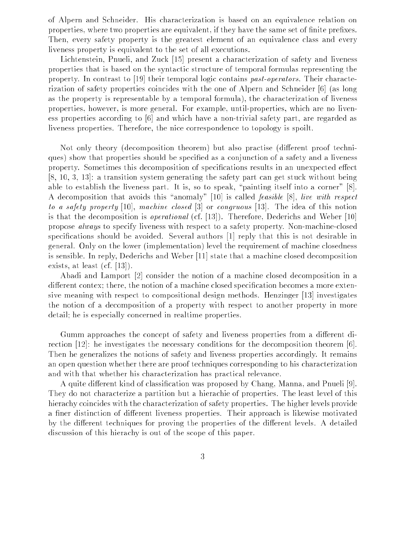of Alpern and Schneider. His characterization is based on an equivalence relation on properties, where two properties are equivalent, if they have the same set of finite prefixes. Then, every safety property is the greatest element of an equivalence class and every liveness property is equivalent to the set of all executions.

Lichtenstein, Pnueli, and Zuck [15] present a characterization of safety and liveness properties that is based on the syntactic structure of temporal formulas representing the property. In contrast to [19] their temporal logic contains past-operators. Their characterization of safety properties coincides with the one of Alpern and Schneider [6] (as long as the property is representable by a temporal formula), the characterization of liveness properties, however, is more general. For example, until-properties, which are no liveness properties according to [6] and which have a non-trivial safety part, are regarded as liveness properties. Therefore, the nice correspondence to topology is spoilt.

Not only theory (decomposition theorem) but also practise (different proof techniques) show that properties should be specied as a conjunction of a safety and a liveness property. Sometimes this decomposition of specifications results in an unexpected effect [8, 10, 3, 13]: a transition system generating the safety part can get stuck without being able to establish the liveness part. It is, so to speak, "painting itself into a corner"  $[8]$ . A decomposition that avoids this "anomaly" [10] is called *feasible* [8], live with respect to a safety property [10], machine closed [3] or congruous [13]. The idea of this notion is that the decomposition is operational (cf. [13]). Therefore, Dederichs and Weber [10] propose always to specify liveness with respect to a safety property. Non-machine-closed specifications should be avoided. Several authors [1] reply that this is not desirable in general. Only on the lower (implementation) level the requirement of machine closedness is sensible. In reply, Dederichs and Weber [11] state that a machine closed decomposition exists, at least (cf. [13]).

Abadi and Lamport [2] consider the notion of a machine closed decomposition in a different contex; there, the notion of a machine closed specification becomes a more extensive meaning with respect to compositional design methods. Henzinger [13] investigates the notion of a decomposition of a property with respect to another property in more detail; he is especially concerned in realtime properties.

Gumm approaches the concept of safety and liveness properties from a different direction [12]: he investigates the necessary conditions for the decomposition theorem [6]. Then he generalizes the notions of safety and liveness properties accordingly. It remains an open question whether there are proof techniques corresponding to his characterization and with that whether his characterization has practical relevance.

A quite different kind of classification was proposed by Chang, Manna, and Pnueli [9]. They do not characterize a partition but a hierachie of properties. The least level of this hierachy coincides with the characterization of safety properties. The higher levels provide a finer distinction of different liveness properties. Their approach is likewise motivated by the different techniques for proving the properties of the different levels. A detailed discussion of this hierachy is out of the scope of this paper.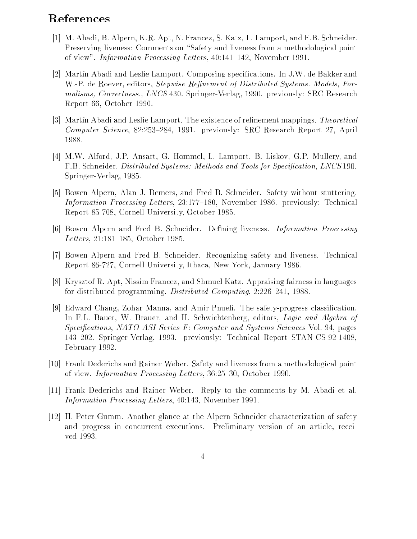## References

- [1] M. Abadi, B. Alpern, K.R. Apt, N. Francez, S. Katz, L. Lamport, and F.B. Schneider. Preserving liveness: Comments on "Safety and liveness from a methodological point of view". Information Processing Letters,  $40:141-142$ , November 1991.
- [2] Martin Abadi and Leslie Lamport. Composing specifications. In J.W. de Bakker and W.-P. de Roever, editors, *Stepwise Refinement of Distributed Systems. Models, For*malisms, Correctness., LNCS 430. Springer-Verlag, 1990. previously: SRC Research Report 66, October 1990.
- [3] Martin Abadi and Leslie Lamport. The existence of refinement mappings. Theoretical Computer Science, 82:253-284, 1991. previously: SRC Research Report 27, April 1988.
- [4] M.W. Alford, J.P. Ansart, G. Hommel, L. Lamport, B. Liskov, G.P. Mullery, and F.B. Schneider. Distributed Systems: Methods and Tools for Specification, LNCS 190. Springer-Verlag, 1985.
- [5] Bowen Alpern, Alan J. Demers, and Fred B. Schneider. Safety without stuttering. Information Processing Letters, 23:177-180, November 1986. previously: Technical Report 85-708, Cornell University, October 1985.
- [6] Bowen Alpern and Fred B. Schneider. Defining liveness. *Information Processing* Letters, 21:181-185, October 1985.
- [7] Bowen Alpern and Fred B. Schneider. Recognizing safety and liveness. Technical Report 86-727, Cornell University, Ithaca, New York, January 1986.
- [8] Krysztof R. Apt, Nissim Francez, and Shmuel Katz. Appraising fairness in languages for distributed programming. Distributed Computing, 2:226-241, 1988.
- [9] Edward Chang, Zohar Manna, and Amir Pnueli. The safety-progress classication. In F.L. Bauer, W. Brauer, and H. Schwichtenberg, editors, Logic and Algebra of Specifications, NATO ASI Series F: Computer and Systems Sciences Vol. 94, pages 143{202. Springer-Verlag, 1993. previously: Technical Report STAN-CS-92-1408, February 1992.
- [10] Frank Dederichs and Rainer Weber. Safety and liveness from a methodological point of view. Information Processing Letters, 36:25-30, October 1990.
- [11] Frank Dederichs and Rainer Weber. Reply to the comments by M. Abadi et al. Information Processing Letters, 40:143, November 1991.
- [12] H. Peter Gumm. Another glance at the Alpern-Schneider characterization of safety and progress in concurrent executions. Preliminary version of an article, received 1993.